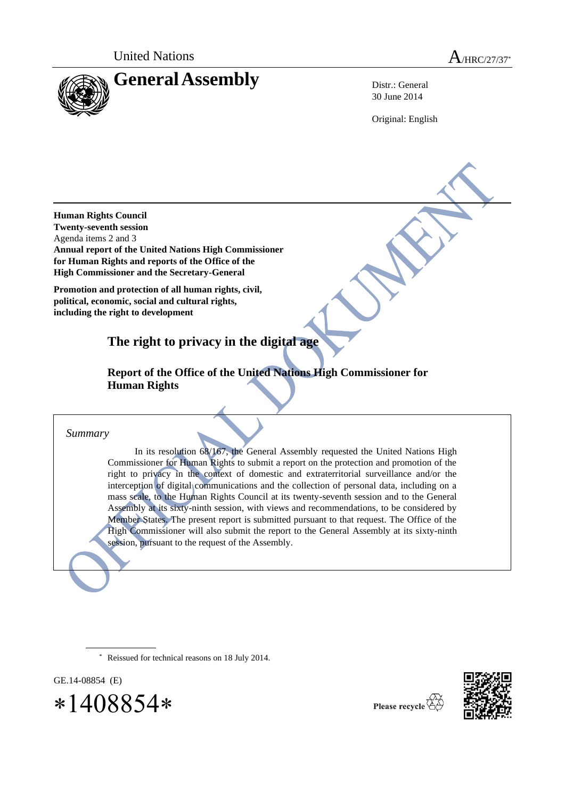United Nations A/HRC/27/37<sup>\*</sup>



30 June 2014

Original: English

**Human Rights Council Twenty-seventh session**  Agenda items 2 and 3 **Annual report of the United Nations High Commissioner for Human Rights and reports of the Office of the High Commissioner and the Secretary-General**

**Promotion and protection of all human rights, civil, political, economic, social and cultural rights, including the right to development**

**The right to privacy in the digital age**

**Report of the Office of the United Nations High Commissioner for Human Rights**

*Summary*

In its resolution 68/167, the General Assembly requested the United Nations High Commissioner for Human Rights to submit a report on the protection and promotion of the right to privacy in the context of domestic and extraterritorial surveillance and/or the interception of digital communications and the collection of personal data, including on a mass scale, to the Human Rights Council at its twenty-seventh session and to the General Assembly at its sixty-ninth session, with views and recommendations, to be considered by Member States. The present report is submitted pursuant to that request. The Office of the High Commissioner will also submit the report to the General Assembly at its sixty-ninth session, pursuant to the request of the Assembly.

Reissued for technical reasons on 18 July 2014.

GE.14-08854 (E)

 $*1408854*$ 



Please recycle  $\overline{\mathbf{V}}$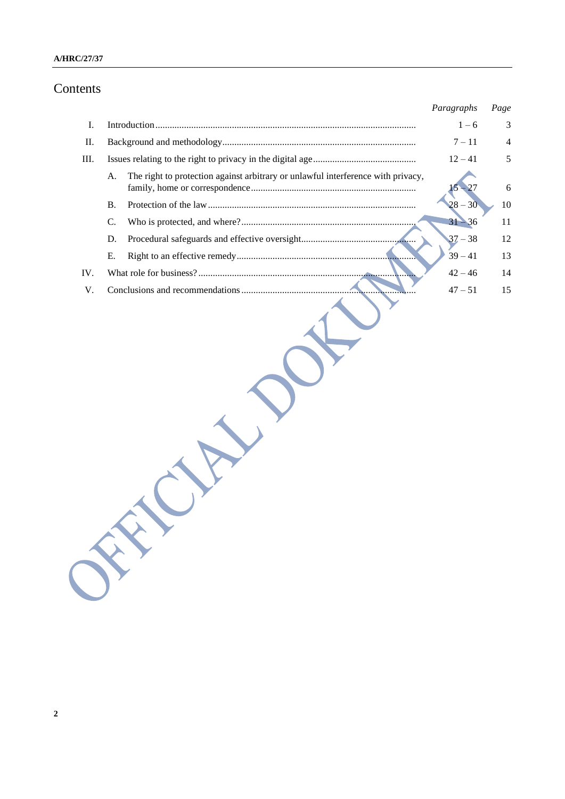## **A/HRC/27/37**

# Contents

|     |           |                                                                                  | Paragraphs | Page           |
|-----|-----------|----------------------------------------------------------------------------------|------------|----------------|
| I.  |           |                                                                                  | $1 - 6$    | 3              |
| П.  |           |                                                                                  | $7 - 11$   | $\overline{4}$ |
| Ш.  |           |                                                                                  | $12 - 41$  | 5              |
|     | A.        | The right to protection against arbitrary or unlawful interference with privacy, |            | 6              |
|     | <b>B.</b> |                                                                                  | $28 - 30$  | 10             |
|     | C.        |                                                                                  | $31 - 36$  | 11             |
|     | D.        |                                                                                  | $37 - 38$  | 12             |
|     | Е.        |                                                                                  | $39 - 41$  | 13             |
| IV. |           |                                                                                  | $42 - 46$  | 14             |
| V.  |           |                                                                                  | $47 - 51$  | 15             |
|     |           |                                                                                  |            |                |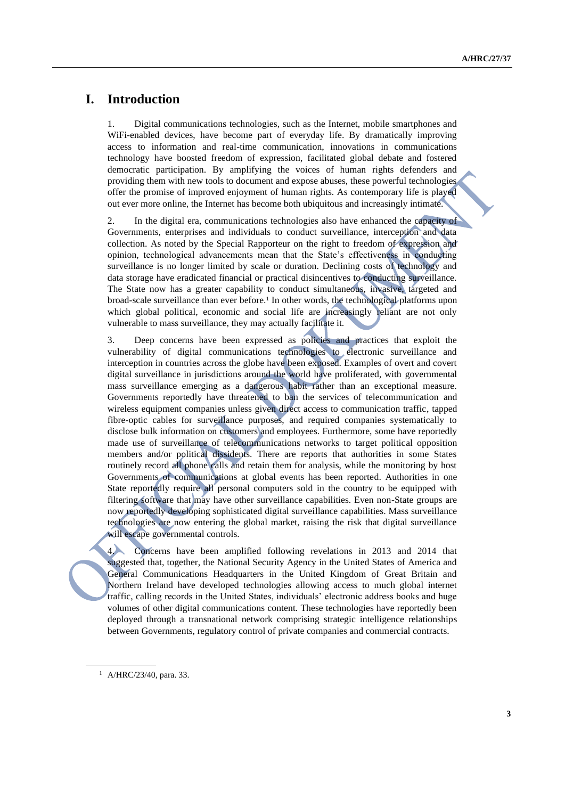# **I. Introduction**

1. Digital communications technologies, such as the Internet, mobile smartphones and WiFi-enabled devices, have become part of everyday life. By dramatically improving access to information and real-time communication, innovations in communications technology have boosted freedom of expression, facilitated global debate and fostered democratic participation. By amplifying the voices of human rights defenders and providing them with new tools to document and expose abuses, these powerful technologies offer the promise of improved enjoyment of human rights. As contemporary life is played out ever more online, the Internet has become both ubiquitous and increasingly intimate.

2. In the digital era, communications technologies also have enhanced the capacity of Governments, enterprises and individuals to conduct surveillance, interception and data collection. As noted by the Special Rapporteur on the right to freedom of expression and opinion, technological advancements mean that the State's effectiveness in conducting surveillance is no longer limited by scale or duration. Declining costs of technology and data storage have eradicated financial or practical disincentives to conducting surveillance. The State now has a greater capability to conduct simultaneous, invasive, targeted and broad-scale surveillance than ever before.<sup>1</sup> In other words, the technological platforms upon which global political, economic and social life are increasingly reliant are not only vulnerable to mass surveillance, they may actually facilitate it.

3. Deep concerns have been expressed as policies and practices that exploit the vulnerability of digital communications technologies to electronic surveillance and interception in countries across the globe have been exposed. Examples of overt and covert digital surveillance in jurisdictions around the world have proliferated, with governmental mass surveillance emerging as a dangerous habit rather than an exceptional measure. Governments reportedly have threatened to ban the services of telecommunication and wireless equipment companies unless given direct access to communication traffic, tapped fibre-optic cables for surveillance purposes, and required companies systematically to disclose bulk information on customers and employees. Furthermore, some have reportedly made use of surveillance of telecommunications networks to target political opposition members and/or political dissidents. There are reports that authorities in some States routinely record all phone calls and retain them for analysis, while the monitoring by host Governments of communications at global events has been reported. Authorities in one State reportedly require all personal computers sold in the country to be equipped with filtering software that may have other surveillance capabilities. Even non-State groups are now reportedly developing sophisticated digital surveillance capabilities. Mass surveillance technologies are now entering the global market, raising the risk that digital surveillance will escape governmental controls.

4. Concerns have been amplified following revelations in 2013 and 2014 that suggested that, together, the National Security Agency in the United States of America and General Communications Headquarters in the United Kingdom of Great Britain and Northern Ireland have developed technologies allowing access to much global internet traffic, calling records in the United States, individuals' electronic address books and huge volumes of other digital communications content. These technologies have reportedly been deployed through a transnational network comprising strategic intelligence relationships between Governments, regulatory control of private companies and commercial contracts.

<sup>1</sup> A/HRC/23/40, para. 33.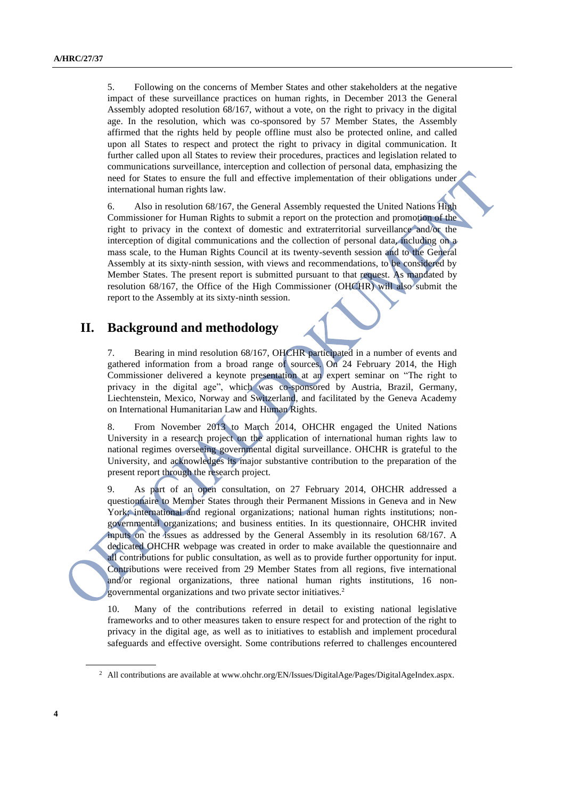5. Following on the concerns of Member States and other stakeholders at the negative impact of these surveillance practices on human rights, in December 2013 the General Assembly adopted resolution 68/167, without a vote, on the right to privacy in the digital age. In the resolution, which was co-sponsored by 57 Member States, the Assembly affirmed that the rights held by people offline must also be protected online, and called upon all States to respect and protect the right to privacy in digital communication. It further called upon all States to review their procedures, practices and legislation related to communications surveillance, interception and collection of personal data, emphasizing the need for States to ensure the full and effective implementation of their obligations under international human rights law.

6. Also in resolution 68/167, the General Assembly requested the United Nations High Commissioner for Human Rights to submit a report on the protection and promotion of the right to privacy in the context of domestic and extraterritorial surveillance and/or the interception of digital communications and the collection of personal data, including on a mass scale, to the Human Rights Council at its twenty-seventh session and to the General Assembly at its sixty-ninth session, with views and recommendations, to be considered by Member States. The present report is submitted pursuant to that request. As mandated by resolution 68/167, the Office of the High Commissioner (OHCHR) will also submit the report to the Assembly at its sixty-ninth session.

## **II. Background and methodology**

7. Bearing in mind resolution 68/167, OHCHR participated in a number of events and gathered information from a broad range of sources. On 24 February 2014, the High Commissioner delivered a keynote presentation at an expert seminar on "The right to privacy in the digital age", which was co-sponsored by Austria, Brazil, Germany, Liechtenstein, Mexico, Norway and Switzerland, and facilitated by the Geneva Academy on International Humanitarian Law and Human Rights.

8. From November 2013 to March 2014, OHCHR engaged the United Nations University in a research project on the application of international human rights law to national regimes overseeing governmental digital surveillance. OHCHR is grateful to the University, and acknowledges its major substantive contribution to the preparation of the present report through the research project.

9. As part of an open consultation, on 27 February 2014, OHCHR addressed a questionnaire to Member States through their Permanent Missions in Geneva and in New York; international and regional organizations; national human rights institutions; nongovernmental organizations; and business entities. In its questionnaire, OHCHR invited inputs on the issues as addressed by the General Assembly in its resolution 68/167. A dedicated OHCHR webpage was created in order to make available the questionnaire and all contributions for public consultation, as well as to provide further opportunity for input. Contributions were received from 29 Member States from all regions, five international and/or regional organizations, three national human rights institutions, 16 nongovernmental organizations and two private sector initiatives.<sup>2</sup>

10. Many of the contributions referred in detail to existing national legislative frameworks and to other measures taken to ensure respect for and protection of the right to privacy in the digital age, as well as to initiatives to establish and implement procedural safeguards and effective oversight. Some contributions referred to challenges encountered

<sup>&</sup>lt;sup>2</sup> All contributions are available a[t www.ohchr.org/EN/Issues/DigitalAge/Pages/DigitalAgeIndex.aspx.](http://www.ohchr.org/EN/Issues/DigitalAge/Pages/DigitalAgeIndex.aspx)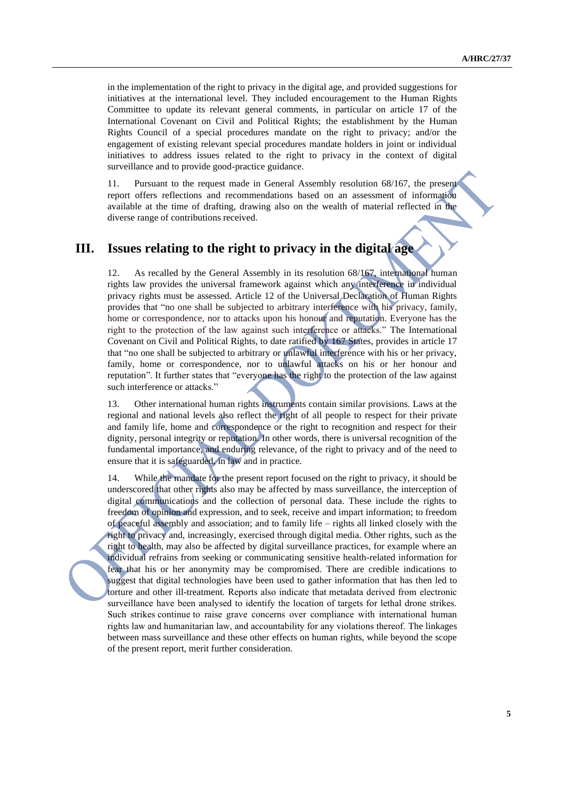in the implementation of the right to privacy in the digital age, and provided suggestions for initiatives at the international level. They included encouragement to the Human Rights Committee to update its relevant general comments, in particular on article 17 of the International Covenant on Civil and Political Rights; the establishment by the Human Rights Council of a special procedures mandate on the right to privacy; and/or the engagement of existing relevant special procedures mandate holders in joint or individual initiatives to address issues related to the right to privacy in the context of digital surveillance and to provide good-practice guidance.

11. Pursuant to the request made in General Assembly resolution 68/167, the present report offers reflections and recommendations based on an assessment of information available at the time of drafting, drawing also on the wealth of material reflected in the diverse range of contributions received.

# **III. Issues relating to the right to privacy in the digital age**

12. As recalled by the General Assembly in its resolution 68/167, international human rights law provides the universal framework against which any interference in individual privacy rights must be assessed. Article 12 of the Universal Declaration of Human Rights provides that "no one shall be subjected to arbitrary interference with his privacy, family, home or correspondence, nor to attacks upon his honour and reputation. Everyone has the right to the protection of the law against such interference or attacks." The International Covenant on Civil and Political Rights, to date ratified by 167 States, provides in article 17 that "no one shall be subjected to arbitrary or unlawful interference with his or her privacy, family, home or correspondence, nor to unlawful attacks on his or her honour and reputation". It further states that "everyone has the right to the protection of the law against such interference or attacks."

13. Other international human rights instruments contain similar provisions. Laws at the regional and national levels also reflect the right of all people to respect for their private and family life, home and correspondence or the right to recognition and respect for their dignity, personal integrity or reputation. In other words, there is universal recognition of the fundamental importance, and enduring relevance, of the right to privacy and of the need to ensure that it is safeguarded, in law and in practice.

14. While the mandate for the present report focused on the right to privacy, it should be underscored that other rights also may be affected by mass surveillance, the interception of digital communications and the collection of personal data. These include the rights to freedom of opinion and expression, and to seek, receive and impart information; to freedom of peaceful assembly and association; and to family life – rights all linked closely with the right to privacy and, increasingly, exercised through digital media. Other rights, such as the right to health, may also be affected by digital surveillance practices, for example where an individual refrains from seeking or communicating sensitive health-related information for fear that his or her anonymity may be compromised. There are credible indications to suggest that digital technologies have been used to gather information that has then led to torture and other ill-treatment. Reports also indicate that metadata derived from electronic surveillance have been analysed to identify the location of targets for lethal drone strikes. Such strikes continue to raise grave concerns over compliance with international human rights law and humanitarian law, and accountability for any violations thereof. The linkages between mass surveillance and these other effects on human rights, while beyond the scope of the present report, merit further consideration.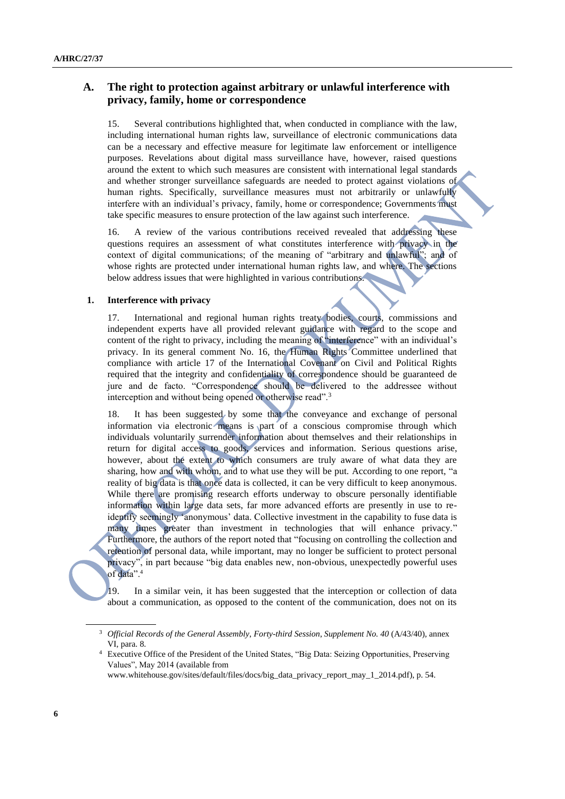### **A. The right to protection against arbitrary or unlawful interference with privacy, family, home or correspondence**

15. Several contributions highlighted that, when conducted in compliance with the law, including international human rights law, surveillance of electronic communications data can be a necessary and effective measure for legitimate law enforcement or intelligence purposes. Revelations about digital mass surveillance have, however, raised questions around the extent to which such measures are consistent with international legal standards and whether stronger surveillance safeguards are needed to protect against violations of human rights. Specifically, surveillance measures must not arbitrarily or unlawfully interfere with an individual's privacy, family, home or correspondence; Governments must take specific measures to ensure protection of the law against such interference.

16. A review of the various contributions received revealed that addressing these questions requires an assessment of what constitutes interference with privacy in the context of digital communications; of the meaning of "arbitrary and unlawful"; and of whose rights are protected under international human rights law, and where. The sections below address issues that were highlighted in various contributions.

#### **1. Interference with privacy**

17. International and regional human rights treaty bodies, courts, commissions and independent experts have all provided relevant guidance with regard to the scope and content of the right to privacy, including the meaning of "interference" with an individual's privacy. In its general comment No. 16, the Human Rights Committee underlined that compliance with article 17 of the International Covenant on Civil and Political Rights required that the integrity and confidentiality of correspondence should be guaranteed de jure and de facto. "Correspondence should be delivered to the addressee without interception and without being opened or otherwise read".<sup>3</sup>

18. It has been suggested by some that the conveyance and exchange of personal information via electronic means is part of a conscious compromise through which individuals voluntarily surrender information about themselves and their relationships in return for digital access to goods, services and information. Serious questions arise, however, about the extent to which consumers are truly aware of what data they are sharing, how and with whom, and to what use they will be put. According to one report, "a reality of big data is that once data is collected, it can be very difficult to keep anonymous. While there are promising research efforts underway to obscure personally identifiable information within large data sets, far more advanced efforts are presently in use to reidentify seemingly 'anonymous' data. Collective investment in the capability to fuse data is many times greater than investment in technologies that will enhance privacy." Furthermore, the authors of the report noted that "focusing on controlling the collection and retention of personal data, while important, may no longer be sufficient to protect personal privacy", in part because "big data enables new, non-obvious, unexpectedly powerful uses of data".<sup>4</sup>

19. In a similar vein, it has been suggested that the interception or collection of data about a communication, as opposed to the content of the communication, does not on its

<sup>3</sup> *Official Records of the General Assembly*, *Forty-third Session*, *Supplement No. 40* (A/43/40), annex VI, para. 8.

<sup>4</sup> Executive Office of the President of the United States, "Big Data: Seizing Opportunities, Preserving Values", May 2014 (available from

www.whitehouse.gov/sites/default/files/docs/big\_data\_privacy\_report\_may\_1\_2014.pdf), p. 54.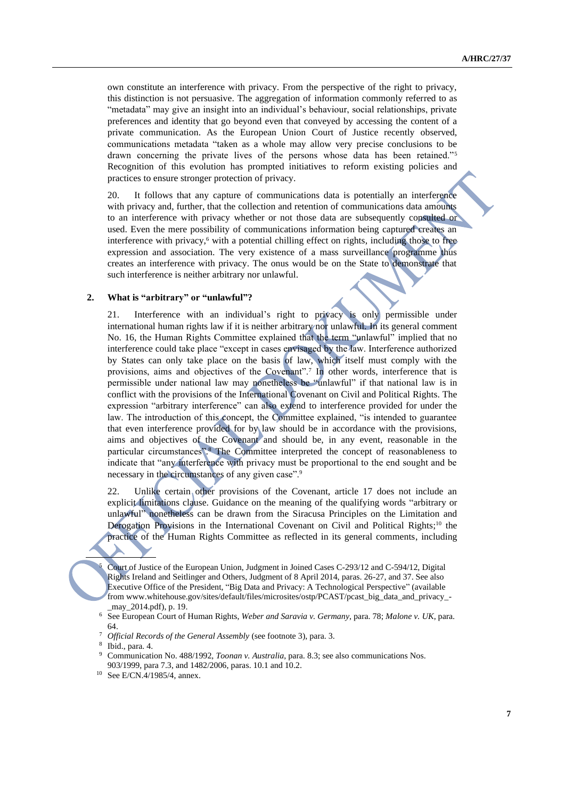own constitute an interference with privacy. From the perspective of the right to privacy, this distinction is not persuasive. The aggregation of information commonly referred to as "metadata" may give an insight into an individual's behaviour, social relationships, private preferences and identity that go beyond even that conveyed by accessing the content of a private communication. As the European Union Court of Justice recently observed, communications metadata "taken as a whole may allow very precise conclusions to be drawn concerning the private lives of the persons whose data has been retained."<sup>5</sup> Recognition of this evolution has prompted initiatives to reform existing policies and practices to ensure stronger protection of privacy.

20. It follows that any capture of communications data is potentially an interference with privacy and, further, that the collection and retention of communications data amounts to an interference with privacy whether or not those data are subsequently consulted or used. Even the mere possibility of communications information being captured creates an interference with privacy,<sup>6</sup> with a potential chilling effect on rights, including those to free expression and association. The very existence of a mass surveillance programme thus creates an interference with privacy. The onus would be on the State to demonstrate that such interference is neither arbitrary nor unlawful.

#### **2. What is "arbitrary" or "unlawful"?**

21. Interference with an individual's right to privacy is only permissible under international human rights law if it is neither arbitrary nor unlawful. In its general comment No. 16, the Human Rights Committee explained that the term "unlawful" implied that no interference could take place "except in cases envisaged by the law. Interference authorized by States can only take place on the basis of law, which itself must comply with the provisions, aims and objectives of the Covenant".<sup>7</sup> In other words, interference that is permissible under national law may nonetheless be "unlawful" if that national law is in conflict with the provisions of the International Covenant on Civil and Political Rights. The expression "arbitrary interference" can also extend to interference provided for under the law. The introduction of this concept, the Committee explained, "is intended to guarantee that even interference provided for by law should be in accordance with the provisions, aims and objectives of the Covenant and should be, in any event, reasonable in the particular circumstances"*.* <sup>8</sup> The Committee interpreted the concept of reasonableness to indicate that "any interference with privacy must be proportional to the end sought and be necessary in the circumstances of any given case".<sup>9</sup>

22. Unlike certain other provisions of the Covenant, article 17 does not include an explicit limitations clause. Guidance on the meaning of the qualifying words "arbitrary or unlawful" nonetheless can be drawn from the Siracusa Principles on the Limitation and Derogation Provisions in the International Covenant on Civil and Political Rights;<sup>10</sup> the practice of the Human Rights Committee as reflected in its general comments, including

<sup>5</sup> Court of Justice of the European Union, Judgment in Joined Cases C-293/12 and C-594/12, Digital Rights Ireland and Seitlinger and Others, Judgment of 8 April 2014, paras. 26-27, and 37. See also Executive Office of the President, "Big Data and Privacy: A Technological Perspective" (available from www.whitehouse.gov/sites/default/files/microsites/ostp/PCAST/pcast\_big\_data\_and\_privacy\_- \_may\_2014.pdf), p. 19.

<sup>6</sup> See European Court of Human Rights, *Weber and Saravia v. Germany*, para. 78; *Malone v. UK*, para. 64.

<sup>7</sup> *Official Records of the General Assembly* (see footnote 3), para. 3.

<sup>8</sup> Ibid., para. 4.

<sup>9</sup> Communication No. 488/1992, *Toonan v. Australia*, para. 8.3; see also communications Nos. 903/1999, para 7.3, and 1482/2006, paras. 10.1 and 10.2.

<sup>10</sup> See E/CN.4/1985/4, annex.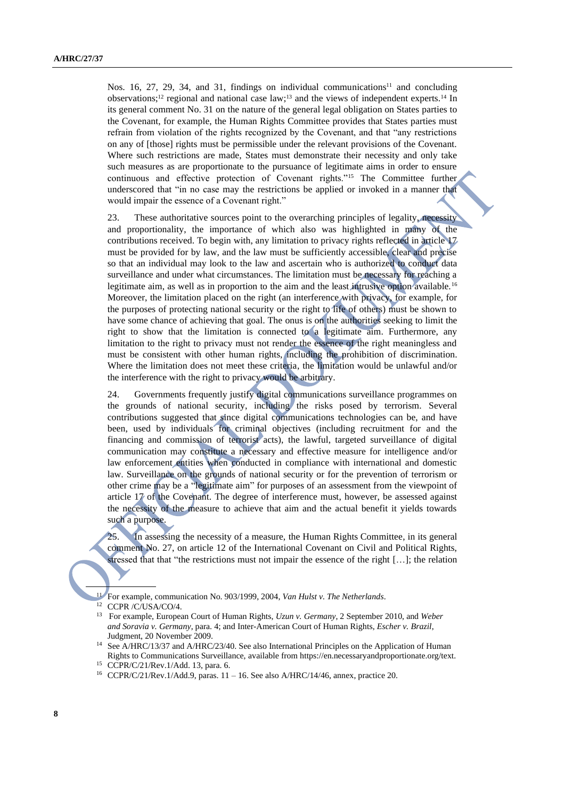Nos. 16, 27, 29, 34, and 31, findings on individual communications<sup>11</sup> and concluding observations;<sup>12</sup> regional and national case law;<sup>13</sup> and the views of independent experts.<sup>14</sup> In its general comment No. 31 on the nature of the general legal obligation on States parties to the Covenant, for example, the Human Rights Committee provides that States parties must refrain from violation of the rights recognized by the Covenant, and that "any restrictions on any of [those] rights must be permissible under the relevant provisions of the Covenant. Where such restrictions are made, States must demonstrate their necessity and only take such measures as are proportionate to the pursuance of legitimate aims in order to ensure continuous and effective protection of Covenant rights."<sup>15</sup> The Committee further underscored that "in no case may the restrictions be applied or invoked in a manner that would impair the essence of a Covenant right."

23. These authoritative sources point to the overarching principles of legality, necessity and proportionality, the importance of which also was highlighted in many of the contributions received. To begin with, any limitation to privacy rights reflected in article 17 must be provided for by law, and the law must be sufficiently accessible, clear and precise so that an individual may look to the law and ascertain who is authorized to conduct data surveillance and under what circumstances. The limitation must be necessary for reaching a legitimate aim, as well as in proportion to the aim and the least intrusive option available.<sup>16</sup> Moreover, the limitation placed on the right (an interference with privacy, for example, for the purposes of protecting national security or the right to life of others) must be shown to have some chance of achieving that goal. The onus is on the authorities seeking to limit the right to show that the limitation is connected to a legitimate aim. Furthermore, any limitation to the right to privacy must not render the essence of the right meaningless and must be consistent with other human rights, including the prohibition of discrimination. Where the limitation does not meet these criteria, the limitation would be unlawful and/or the interference with the right to privacy would be arbitrary.

24. Governments frequently justify digital communications surveillance programmes on the grounds of national security, including the risks posed by terrorism. Several contributions suggested that since digital communications technologies can be, and have been, used by individuals for criminal objectives (including recruitment for and the financing and commission of terrorist acts), the lawful, targeted surveillance of digital communication may constitute a necessary and effective measure for intelligence and/or law enforcement entities when conducted in compliance with international and domestic law. Surveillance on the grounds of national security or for the prevention of terrorism or other crime may be a "legitimate aim" for purposes of an assessment from the viewpoint of article 17 of the Covenant. The degree of interference must, however, be assessed against the necessity of the measure to achieve that aim and the actual benefit it yields towards such a purpose.

25. In assessing the necessity of a measure, the Human Rights Committee, in its general comment No. 27, on article 12 of the International Covenant on Civil and Political Rights, stressed that that "the restrictions must not impair the essence of the right [...]; the relation

<sup>13</sup> For example, European Court of Human Rights, *Uzun v. Germany*, 2 September 2010, and *Weber and Soravia v. Germany*, para. 4; and Inter-American Court of Human Rights, *Escher v. Brazil*, Judgment, 20 November 2009.

<sup>11</sup> For example, communication No. 903/1999, 2004, *Van Hulst v. The Netherlands*.

<sup>12</sup> CCPR /C/USA/CO/4.

<sup>&</sup>lt;sup>14</sup> See A/HRC/13/37 and A/HRC/23/40. See also International Principles on the Application of Human Rights to Communications Surveillance, available from https://en.necessaryandproportionate.org/text.

<sup>15</sup> CCPR/C/21/Rev.1/Add. 13, para. 6.

<sup>16</sup> CCPR/C/21/Rev.1/Add.9, paras. 11 – 16. See also A/HRC/14/46, annex, practice 20.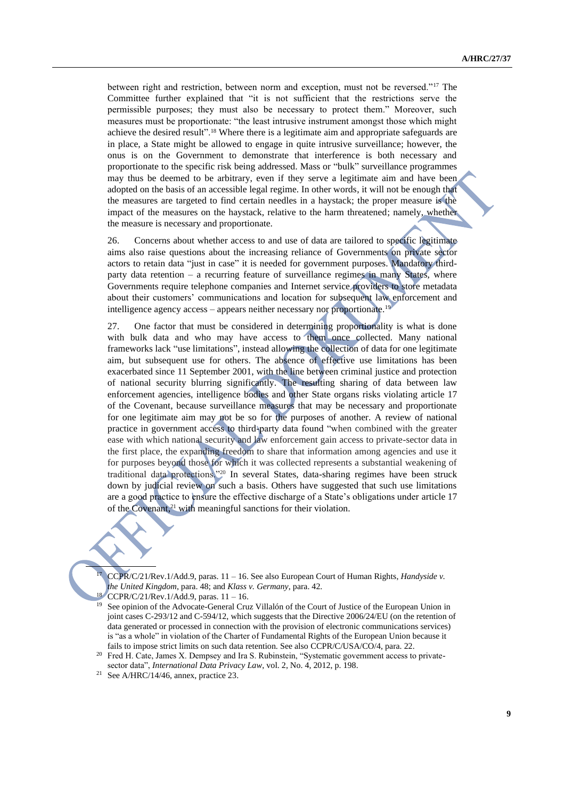between right and restriction, between norm and exception, must not be reversed."<sup>17</sup> The Committee further explained that "it is not sufficient that the restrictions serve the permissible purposes; they must also be necessary to protect them." Moreover, such measures must be proportionate: "the least intrusive instrument amongst those which might achieve the desired result".<sup>18</sup> Where there is a legitimate aim and appropriate safeguards are in place, a State might be allowed to engage in quite intrusive surveillance; however, the onus is on the Government to demonstrate that interference is both necessary and proportionate to the specific risk being addressed. Mass or "bulk" surveillance programmes may thus be deemed to be arbitrary, even if they serve a legitimate aim and have been adopted on the basis of an accessible legal regime. In other words, it will not be enough that the measures are targeted to find certain needles in a haystack; the proper measure is the impact of the measures on the haystack, relative to the harm threatened; namely, whether the measure is necessary and proportionate.

26. Concerns about whether access to and use of data are tailored to specific legitimate aims also raise questions about the increasing reliance of Governments on private sector actors to retain data "just in case" it is needed for government purposes. Mandatory thirdparty data retention – a recurring feature of surveillance regimes in many States, where Governments require telephone companies and Internet service providers to store metadata about their customers' communications and location for subsequent law enforcement and intelligence agency access – appears neither necessary nor proportionate.<sup>19</sup>

27. One factor that must be considered in determining proportionality is what is done with bulk data and who may have access to them once collected. Many national frameworks lack "use limitations", instead allowing the collection of data for one legitimate aim, but subsequent use for others. The absence of effective use limitations has been exacerbated since 11 September 2001, with the line between criminal justice and protection of national security blurring significantly. The resulting sharing of data between law enforcement agencies, intelligence bodies and other State organs risks violating article 17 of the Covenant, because surveillance measures that may be necessary and proportionate for one legitimate aim may not be so for the purposes of another. A review of national practice in government access to third-party data found "when combined with the greater ease with which national security and law enforcement gain access to private-sector data in the first place, the expanding freedom to share that information among agencies and use it for purposes beyond those for which it was collected represents a substantial weakening of traditional data protections."<sup>20</sup> In several States, data-sharing regimes have been struck down by judicial review on such a basis. Others have suggested that such use limitations are a good practice to ensure the effective discharge of a State's obligations under article 17 of the Covenant, <sup>21</sup> with meaningful sanctions for their violation.

<sup>17</sup> CCPR/C/21/Rev.1/Add.9, paras. 11 – 16. See also European Court of Human Rights, *Handyside v. the United Kingdom*, para. 48; and *Klass v. Germany*, para. 42.

<sup>18</sup> CCPR/C/21/Rev.1/Add.9, paras.  $11 - 16$ .<br><sup>19</sup> See opinion of the Advocate-General Cru <sup>19</sup> See opinion of the Advocate-General Cruz Villalón of the Court of Justice of the European Union in joint cases C-293/12 and C-594/12, which suggests that the Directive 2006/24/EU (on the retention of data generated or processed in connection with the provision of electronic communications services) is "as a whole" in violation of the Charter of Fundamental Rights of the European Union because it fails to impose strict limits on such data retention. See also CCPR/C/USA/CO/4, para. 22.

<sup>20</sup> Fred H. Cate, James X. Dempsey and Ira S. Rubinstein, "Systematic government access to privatesector data", *International Data Privacy Law*, vol. 2, No. 4, 2012, p. 198.

<sup>21</sup> See A/HRC/14/46, annex, practice 23.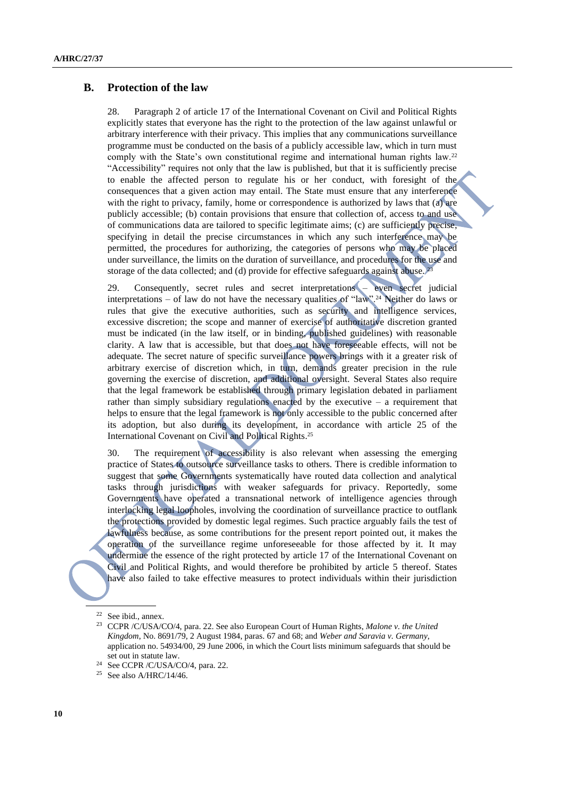### **B. Protection of the law**

28. Paragraph 2 of article 17 of the International Covenant on Civil and Political Rights explicitly states that everyone has the right to the protection of the law against unlawful or arbitrary interference with their privacy. This implies that any communications surveillance programme must be conducted on the basis of a publicly accessible law, which in turn must comply with the State's own constitutional regime and international human rights law.<sup>22</sup> "Accessibility" requires not only that the law is published, but that it is sufficiently precise to enable the affected person to regulate his or her conduct, with foresight of the consequences that a given action may entail. The State must ensure that any interference with the right to privacy, family, home or correspondence is authorized by laws that (a) are publicly accessible; (b) contain provisions that ensure that collection of, access to and use of communications data are tailored to specific legitimate aims; (c) are sufficiently precise, specifying in detail the precise circumstances in which any such interference may be permitted, the procedures for authorizing, the categories of persons who may be placed under surveillance, the limits on the duration of surveillance, and procedures for the use and storage of the data collected; and (d) provide for effective safeguards against abuse.<sup>23</sup>

29. Consequently, secret rules and secret interpretations – even secret judicial interpretations – of law do not have the necessary qualities of "law".<sup>24</sup> Neither do laws or rules that give the executive authorities, such as security and intelligence services, excessive discretion; the scope and manner of exercise of authoritative discretion granted must be indicated (in the law itself, or in binding, published guidelines) with reasonable clarity. A law that is accessible, but that does not have foreseeable effects, will not be adequate. The secret nature of specific surveillance powers brings with it a greater risk of arbitrary exercise of discretion which, in turn, demands greater precision in the rule governing the exercise of discretion, and additional oversight. Several States also require that the legal framework be established through primary legislation debated in parliament rather than simply subsidiary regulations enacted by the executive – a requirement that helps to ensure that the legal framework is not only accessible to the public concerned after its adoption, but also during its development, in accordance with article 25 of the International Covenant on Civil and Political Rights. 25

30. The requirement of accessibility is also relevant when assessing the emerging practice of States to outsource surveillance tasks to others. There is credible information to suggest that some Governments systematically have routed data collection and analytical tasks through jurisdictions with weaker safeguards for privacy. Reportedly, some Governments have operated a transnational network of intelligence agencies through interlocking legal loopholes, involving the coordination of surveillance practice to outflank the protections provided by domestic legal regimes. Such practice arguably fails the test of lawfulness because, as some contributions for the present report pointed out, it makes the operation of the surveillance regime unforeseeable for those affected by it. It may undermine the essence of the right protected by article 17 of the International Covenant on Civil and Political Rights, and would therefore be prohibited by article 5 thereof. States have also failed to take effective measures to protect individuals within their jurisdiction

<sup>22</sup> See ibid., annex.

<sup>23</sup> CCPR /C/USA/CO/4, para. 22. See also European Court of Human Rights, *Malone v. the United Kingdom*, No. 8691/79, 2 August 1984, paras. 67 and 68; and *Weber and Saravia v. Germany*, application no. [54934/00,](http://hudoc.echr.coe.int/sites/eng/pages/search.aspx#%7B%22appno%22:%5B%2254934/00%22%5D%7D) 29 June 2006, in which the Court lists minimum safeguards that should be set out in statute law.

<sup>24</sup> See CCPR /C/USA/CO/4, para. 22.

 $^{25}$  See also A/HRC/14/46.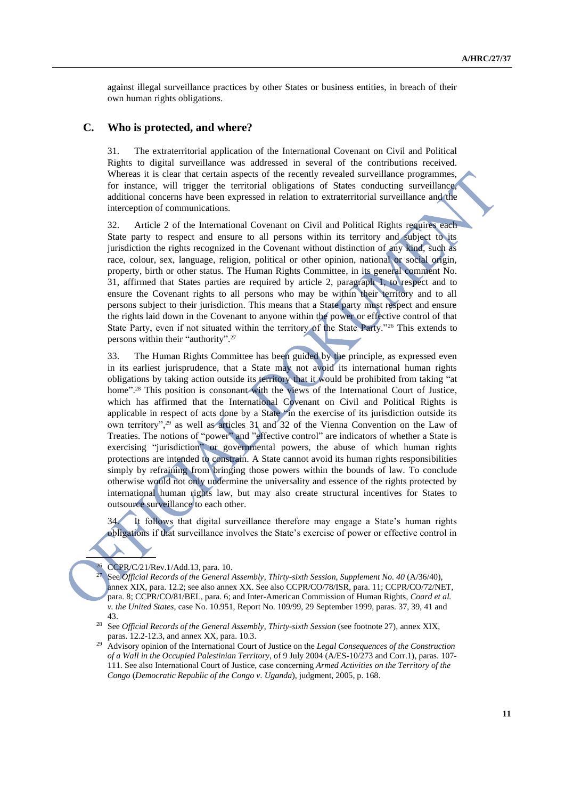against illegal surveillance practices by other States or business entities, in breach of their own human rights obligations.

#### **C. Who is protected, and where?**

31. The extraterritorial application of the International Covenant on Civil and Political Rights to digital surveillance was addressed in several of the contributions received. Whereas it is clear that certain aspects of the recently revealed surveillance programmes, for instance, will trigger the territorial obligations of States conducting surveillance, additional concerns have been expressed in relation to extraterritorial surveillance and the interception of communications.

32. Article 2 of the International Covenant on Civil and Political Rights requires each State party to respect and ensure to all persons within its territory and subject to its jurisdiction the rights recognized in the Covenant without distinction of any kind, such as race, colour, sex, language, religion, political or other opinion, national or social origin, property, birth or other status. The Human Rights Committee, in its general comment No. 31, affirmed that States parties are required by article 2, paragraph 1, to respect and to ensure the Covenant rights to all persons who may be within their territory and to all persons subject to their jurisdiction. This means that a State party must respect and ensure the rights laid down in the Covenant to anyone within the power or effective control of that State Party, even if not situated within the territory of the State Party."<sup>26</sup> This extends to persons within their "authority". 27

33. The Human Rights Committee has been guided by the principle, as expressed even in its earliest jurisprudence, that a State may not avoid its international human rights obligations by taking action outside its territory that it would be prohibited from taking "at home".<sup>28</sup> This position is consonant with the views of the International Court of Justice, which has affirmed that the International Covenant on Civil and Political Rights is applicable in respect of acts done by a State "in the exercise of its jurisdiction outside its own territory", <sup>29</sup> as well as articles 31 and 32 of the Vienna Convention on the Law of Treaties. The notions of "power" and "effective control" are indicators of whether a State is exercising "jurisdiction" or governmental powers, the abuse of which human rights protections are intended to constrain. A State cannot avoid its human rights responsibilities simply by refraining from bringing those powers within the bounds of law. To conclude otherwise would not only undermine the universality and essence of the rights protected by international human rights law, but may also create structural incentives for States to outsource surveillance to each other.

34. It follows that digital surveillance therefore may engage a State's human rights obligations if that surveillance involves the State's exercise of power or effective control in

<sup>26</sup> CCPR/C/21/Rev.1/Add.13, para. 10.

<sup>27</sup> See *Official Records of the General Assembly*, *Thirty-sixth Session*, *Supplement No. 40* (A/36/40), annex XIX, para. 12.2; see also annex XX. See also CCPR/CO/78/ISR, para. 11; CCPR/CO/72/NET, para. 8; CCPR/CO/81/BEL, para. 6; and Inter-American Commission of Human Rights, *Coard et al. v. the United States*, case No. 10.951, Report No. 109/99, 29 September 1999, paras. 37, 39, 41 and 43.

<sup>28</sup> See *Official Records of the General Assembly*, *Thirty-sixth Session* (see footnote 27), annex XIX, paras. 12.2-12.3, and annex XX, para. 10.3.

<sup>29</sup> Advisory opinion of the International Court of Justice on the *Legal Consequences of the Construction of a Wall in the Occupied Palestinian Territory*, of 9 July 2004 (A/ES-10/273 and Corr.1), paras. 107- 111. See also International Court of Justice, case concerning *Armed Activities on the Territory of the Congo* (*Democratic Republic of the Congo v. Uganda*), judgment, 2005, p. 168.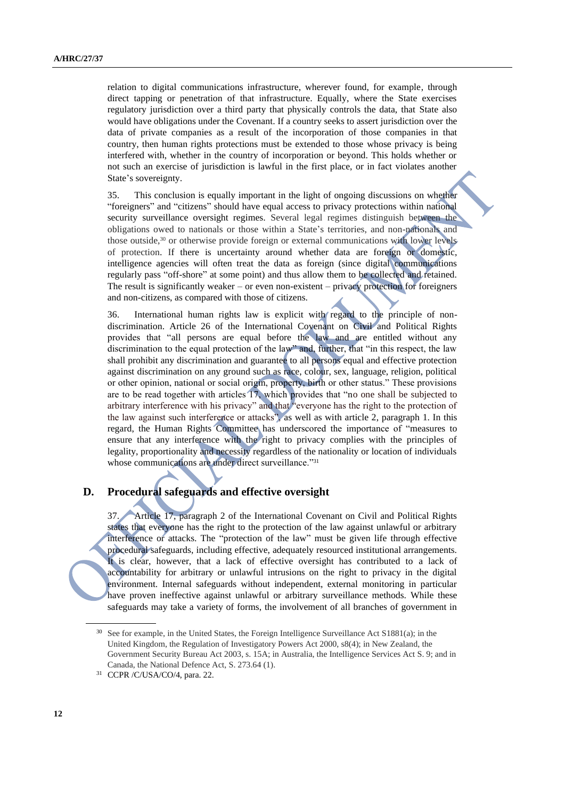relation to digital communications infrastructure, wherever found, for example, through direct tapping or penetration of that infrastructure. Equally, where the State exercises regulatory jurisdiction over a third party that physically controls the data, that State also would have obligations under the Covenant. If a country seeks to assert jurisdiction over the data of private companies as a result of the incorporation of those companies in that country, then human rights protections must be extended to those whose privacy is being interfered with, whether in the country of incorporation or beyond. This holds whether or not such an exercise of jurisdiction is lawful in the first place, or in fact violates another State's sovereignty.

35. This conclusion is equally important in the light of ongoing discussions on whether "foreigners" and "citizens" should have equal access to privacy protections within national security surveillance oversight regimes. Several legal regimes distinguish between the obligations owed to nationals or those within a State's territories, and non-nationals and those outside,<sup>30</sup> or otherwise provide foreign or external communications with lower levels of protection. If there is uncertainty around whether data are foreign or domestic, intelligence agencies will often treat the data as foreign (since digital communications regularly pass "off-shore" at some point) and thus allow them to be collected and retained. The result is significantly weaker – or even non-existent – privacy protection for foreigners and non-citizens, as compared with those of citizens.

36. International human rights law is explicit with regard to the principle of nondiscrimination. Article 26 of the International Covenant on Civil and Political Rights provides that "all persons are equal before the law and are entitled without any discrimination to the equal protection of the law" and, further, that "in this respect, the law shall prohibit any discrimination and guarantee to all persons equal and effective protection against discrimination on any ground such as race, colour, sex, language, religion, political or other opinion, national or social origin, property, birth or other status." These provisions are to be read together with articles 17, which provides that "no one shall be subjected to arbitrary interference with his privacy" and that "everyone has the right to the protection of the law against such interference or attacks", as well as with article 2, paragraph 1. In this regard, the Human Rights Committee has underscored the importance of "measures to ensure that any interference with the right to privacy complies with the principles of legality, proportionality and necessity regardless of the nationality or location of individuals whose communications are under direct surveillance."<sup>31</sup>

### **D. Procedural safeguards and effective oversight**

37. Article 17, paragraph 2 of the International Covenant on Civil and Political Rights states that everyone has the right to the protection of the law against unlawful or arbitrary interference or attacks. The "protection of the law" must be given life through effective procedural safeguards, including effective, adequately resourced institutional arrangements. It is clear, however, that a lack of effective oversight has contributed to a lack of accountability for arbitrary or unlawful intrusions on the right to privacy in the digital environment. Internal safeguards without independent, external monitoring in particular have proven ineffective against unlawful or arbitrary surveillance methods. While these safeguards may take a variety of forms, the involvement of all branches of government in

<sup>&</sup>lt;sup>30</sup> See for example, in the United States, the Foreign Intelligence Surveillance Act S1881(a); in the United Kingdom, the Regulation of Investigatory Powers Act 2000, s8(4); in New Zealand, the Government Security Bureau Act 2003, s. 15A; in Australia, the Intelligence Services Act S. 9; and in Canada, the National Defence Act, S. 273.64 (1).

<sup>31</sup> CCPR /C/USA/CO/4, para. 22.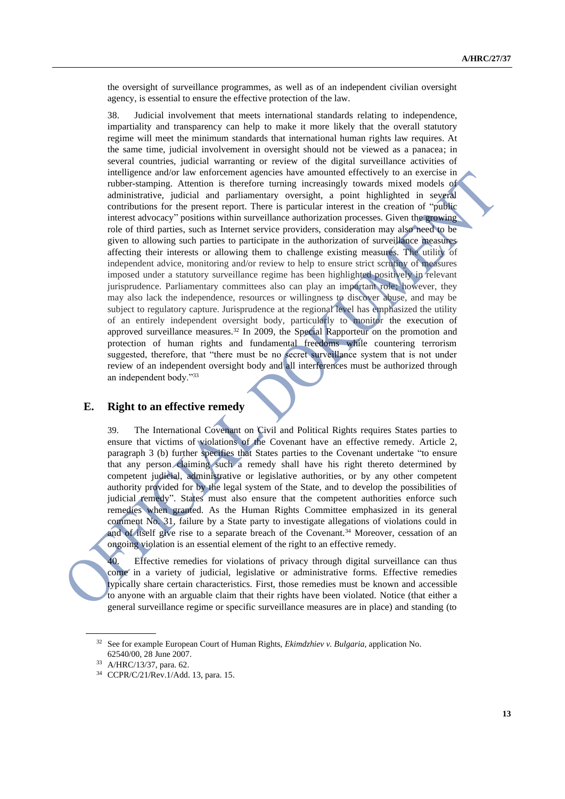the oversight of surveillance programmes, as well as of an independent civilian oversight agency, is essential to ensure the effective protection of the law.

38. Judicial involvement that meets international standards relating to independence, impartiality and transparency can help to make it more likely that the overall statutory regime will meet the minimum standards that international human rights law requires. At the same time, judicial involvement in oversight should not be viewed as a panacea; in several countries, judicial warranting or review of the digital surveillance activities of intelligence and/or law enforcement agencies have amounted effectively to an exercise in rubber-stamping. Attention is therefore turning increasingly towards mixed models of administrative, judicial and parliamentary oversight, a point highlighted in several contributions for the present report. There is particular interest in the creation of "public interest advocacy" positions within surveillance authorization processes. Given the growing role of third parties, such as Internet service providers, consideration may also need to be given to allowing such parties to participate in the authorization of surveillance measures affecting their interests or allowing them to challenge existing measures. The utility of independent advice, monitoring and/or review to help to ensure strict scrutiny of measures imposed under a statutory surveillance regime has been highlighted positively in relevant jurisprudence. Parliamentary committees also can play an important role; however, they may also lack the independence, resources or willingness to discover abuse, and may be subject to regulatory capture. Jurisprudence at the regional level has emphasized the utility of an entirely independent oversight body, particularly to monitor the execution of approved surveillance measures.<sup>32</sup> In 2009, the Special Rapporteur on the promotion and protection of human rights and fundamental freedoms while countering terrorism suggested, therefore, that "there must be no secret surveillance system that is not under review of an independent oversight body and all interferences must be authorized through an independent body."<sup>33</sup>

### **E. Right to an effective remedy**

39. The International Covenant on Civil and Political Rights requires States parties to ensure that victims of violations of the Covenant have an effective remedy. Article 2, paragraph 3 (b) further specifies that States parties to the Covenant undertake "to ensure that any person claiming such a remedy shall have his right thereto determined by competent judicial, administrative or legislative authorities, or by any other competent authority provided for by the legal system of the State, and to develop the possibilities of judicial remedy". States must also ensure that the competent authorities enforce such remedies when granted. As the Human Rights Committee emphasized in its general comment No. 31, failure by a State party to investigate allegations of violations could in and of itself give rise to a separate breach of the Covenant.<sup>34</sup> Moreover, cessation of an ongoing violation is an essential element of the right to an effective remedy.

40. Effective remedies for violations of privacy through digital surveillance can thus come in a variety of judicial, legislative or administrative forms. Effective remedies typically share certain characteristics. First, those remedies must be known and accessible to anyone with an arguable claim that their rights have been violated. Notice (that either a general surveillance regime or specific surveillance measures are in place) and standing (to

<sup>32</sup> See for example European Court of Human Rights, *Ekimdzhiev v. Bulgaria*, application No. 62540/00, 28 June 2007.

<sup>33</sup> A/HRC/13/37, para. 62.

<sup>34</sup> CCPR/C/21/Rev.1/Add. 13, para. 15.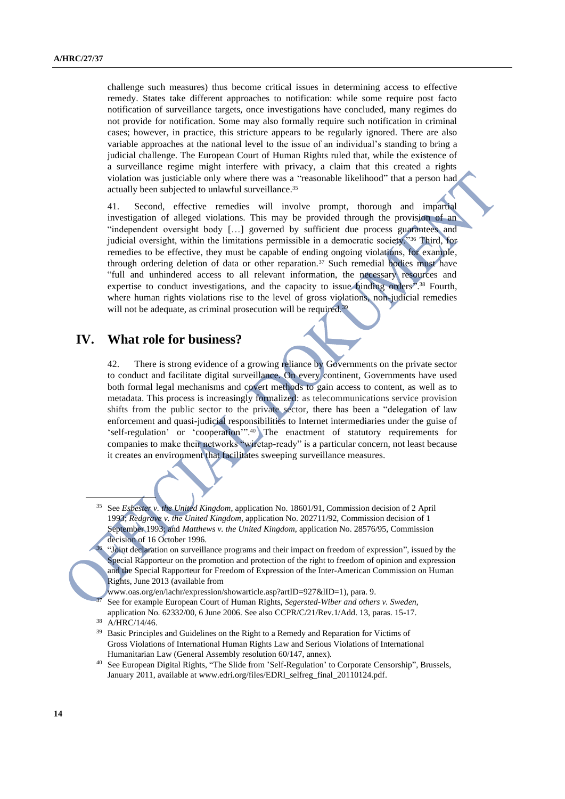challenge such measures) thus become critical issues in determining access to effective remedy. States take different approaches to notification: while some require post facto notification of surveillance targets, once investigations have concluded, many regimes do not provide for notification. Some may also formally require such notification in criminal cases; however, in practice, this stricture appears to be regularly ignored. There are also variable approaches at the national level to the issue of an individual's standing to bring a judicial challenge. The European Court of Human Rights ruled that, while the existence of a surveillance regime might interfere with privacy, a claim that this created a rights violation was justiciable only where there was a "reasonable likelihood" that a person had actually been subjected to unlawful surveillance.<sup>35</sup>

41. Second, effective remedies will involve prompt, thorough and impartial investigation of alleged violations. This may be provided through the provision of an "independent oversight body […] governed by sufficient due process guarantees and judicial oversight, within the limitations permissible in a democratic society."36 Third, for remedies to be effective, they must be capable of ending ongoing violations, for example, through ordering deletion of data or other reparation.<sup>37</sup> Such remedial bodies must have "full and unhindered access to all relevant information, the necessary resources and expertise to conduct investigations, and the capacity to issue binding orders<sup>8</sup>.<sup>38</sup> Fourth, where human rights violations rise to the level of gross violations, non-judicial remedies will not be adequate, as criminal prosecution will be required.<sup>39</sup>

## **IV. What role for business?**

42. There is strong evidence of a growing reliance by Governments on the private sector to conduct and facilitate digital surveillance. On every continent, Governments have used both formal legal mechanisms and covert methods to gain access to content, as well as to metadata. This process is increasingly formalized: as telecommunications service provision shifts from the public sector to the private sector, there has been a "delegation of law enforcement and quasi-judicial responsibilities to Internet intermediaries under the guise of 'self-regulation' or 'cooperation'". <sup>40</sup> The enactment of statutory requirements for companies to make their networks "wiretap-ready" is a particular concern, not least because it creates an environment that facilitates sweeping surveillance measures.

"Joint declaration on surveillance programs and their impact on freedom of expression", issued by the Special Rapporteur on the promotion and protection of the right to freedom of opinion and expression and the Special Rapporteur for Freedom of Expression of the Inter-American Commission on Human Rights, June 2013 (available from

[www.oas.org/en/iachr/expression/showarticle.asp?artID=927&lID=1\)](http://www.oas.org/en/iachr/expression/showarticle.asp?artID=927&lID=1), para. 9.

- <sup>37</sup> See for example European Court of Human Rights, *Segersted-Wiber and others v. Sweden*, application No. 62332/00, 6 June 2006. See also CCPR/C/21/Rev.1/Add. 13, paras. 15-17.
- $38$  A/HRC/14/46.

36

- <sup>39</sup> Basic Principles and Guidelines on the Right to a Remedy and Reparation for Victims of Gross Violations of International Human Rights Law and Serious Violations of International Humanitarian Law (General Assembly resolution 60/147, annex).
- <sup>40</sup> See European Digital Rights, "The Slide from 'Self-Regulation' to Corporate Censorship", Brussels, January 2011, available a[t www.edri.org/files/EDRI\\_selfreg\\_final\\_20110124.pdf.](file:///C:/Documents%20and%20Settings/Pdfeng/My%20Documents/Documents%20and%20Settings/Pdfeng/My%20Documents/Users/lisa.oldring/AppData/Local/Temp/notes711DCD/www.edri.org/files/EDRI_selfreg_final_20110124.pdf)

<sup>35</sup> See *Esbester v. the United Kingdom*, application No. 18601/91, Commission decision of 2 April 1993; *Redgrave v. the United Kingdom*, application No. 202711/92, Commission decision of 1 September 1993; and *Matthews v. the United Kingdom*, application No. 28576/95, Commission decision of 16 October 1996.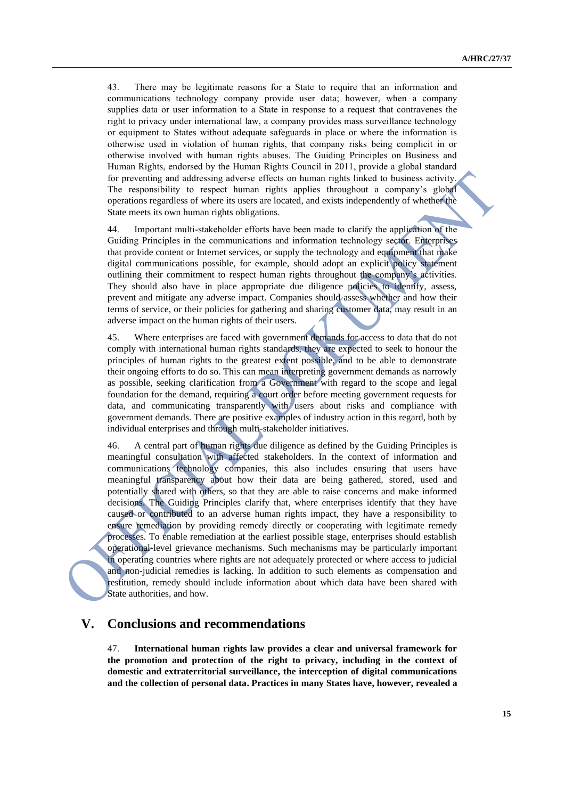43. There may be legitimate reasons for a State to require that an information and communications technology company provide user data; however, when a company supplies data or user information to a State in response to a request that contravenes the right to privacy under international law, a company provides mass surveillance technology or equipment to States without adequate safeguards in place or where the information is otherwise used in violation of human rights, that company risks being complicit in or otherwise involved with human rights abuses. The Guiding Principles on Business and Human Rights, endorsed by the Human Rights Council in 2011, provide a global standard for preventing and addressing adverse effects on human rights linked to business activity. The responsibility to respect human rights applies throughout a company's global operations regardless of where its users are located, and exists independently of whether the State meets its own human rights obligations.

44. Important multi-stakeholder efforts have been made to clarify the application of the Guiding Principles in the communications and information technology sector. Enterprises that provide content or Internet services, or supply the technology and equipment that make digital communications possible, for example, should adopt an explicit policy statement outlining their commitment to respect human rights throughout the company's activities. They should also have in place appropriate due diligence policies to identify, assess, prevent and mitigate any adverse impact. Companies should assess whether and how their terms of service, or their policies for gathering and sharing customer data, may result in an adverse impact on the human rights of their users.

45. Where enterprises are faced with government demands for access to data that do not comply with international human rights standards, they are expected to seek to honour the principles of human rights to the greatest extent possible, and to be able to demonstrate their ongoing efforts to do so. This can mean interpreting government demands as narrowly as possible, seeking clarification from a Government with regard to the scope and legal foundation for the demand, requiring a court order before meeting government requests for data, and communicating transparently with users about risks and compliance with government demands. There are positive examples of industry action in this regard, both by individual enterprises and through multi-stakeholder initiatives.

46. A central part of human rights due diligence as defined by the Guiding Principles is meaningful consultation with affected stakeholders. In the context of information and communications technology companies, this also includes ensuring that users have meaningful transparency about how their data are being gathered, stored, used and potentially shared with others, so that they are able to raise concerns and make informed decisions. The Guiding Principles clarify that, where enterprises identify that they have caused or contributed to an adverse human rights impact, they have a responsibility to ensure remediation by providing remedy directly or cooperating with legitimate remedy processes. To enable remediation at the earliest possible stage, enterprises should establish operational-level grievance mechanisms. Such mechanisms may be particularly important in operating countries where rights are not adequately protected or where access to judicial and non-judicial remedies is lacking. In addition to such elements as compensation and restitution, remedy should include information about which data have been shared with State authorities, and how.

# **V. Conclusions and recommendations**

47. **International human rights law provides a clear and universal framework for the promotion and protection of the right to privacy, including in the context of domestic and extraterritorial surveillance, the interception of digital communications and the collection of personal data. Practices in many States have, however, revealed a**